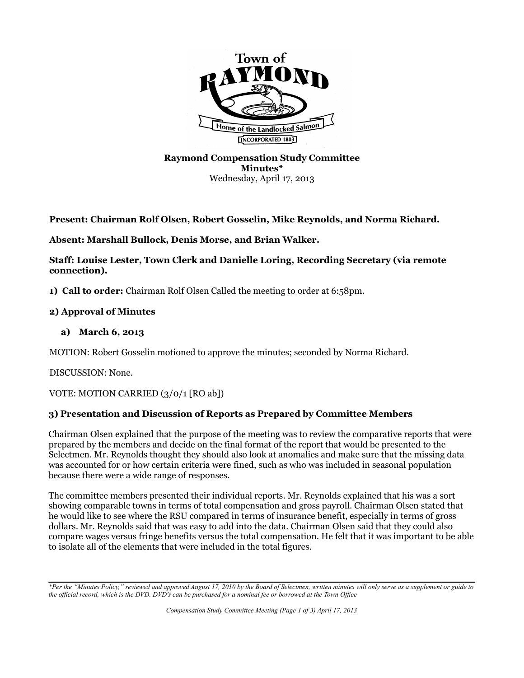

### **Raymond Compensation Study Committee Minutes\*** Wednesday, April 17, 2013

**Present: Chairman Rolf Olsen, Robert Gosselin, Mike Reynolds, and Norma Richard.**

**Absent: Marshall Bullock, Denis Morse, and Brian Walker.** 

**Staff: Louise Lester, Town Clerk and Danielle Loring, Recording Secretary (via remote connection).** 

**1) Call to order:** Chairman Rolf Olsen Called the meeting to order at 6:58pm.

### **2) Approval of Minutes**

### **a) March 6, 2013**

MOTION: Robert Gosselin motioned to approve the minutes; seconded by Norma Richard.

DISCUSSION: None.

VOTE: MOTION CARRIED (3/0/1 [RO ab])

## **3) Presentation and Discussion of Reports as Prepared by Committee Members**

Chairman Olsen explained that the purpose of the meeting was to review the comparative reports that were prepared by the members and decide on the final format of the report that would be presented to the Selectmen. Mr. Reynolds thought they should also look at anomalies and make sure that the missing data was accounted for or how certain criteria were fined, such as who was included in seasonal population because there were a wide range of responses.

The committee members presented their individual reports. Mr. Reynolds explained that his was a sort showing comparable towns in terms of total compensation and gross payroll. Chairman Olsen stated that he would like to see where the RSU compared in terms of insurance benefit, especially in terms of gross dollars. Mr. Reynolds said that was easy to add into the data. Chairman Olsen said that they could also compare wages versus fringe benefits versus the total compensation. He felt that it was important to be able to isolate all of the elements that were included in the total figures.

*<sup>\*</sup>Per the "Minutes Policy," reviewed and approved August 17, 2010 by the Board of Selectmen, written minutes will only serve as a supplement or guide to the official record, which is the DVD. DVD's can be purchased for a nominal fee or borrowed at the Town Office*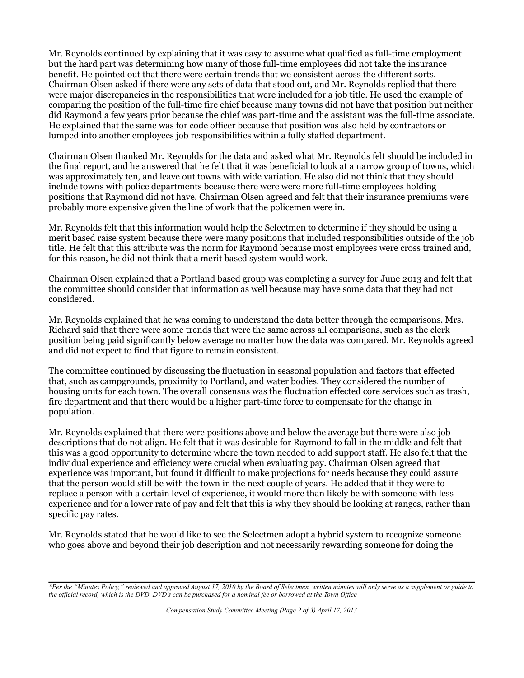Mr. Reynolds continued by explaining that it was easy to assume what qualified as full-time employment but the hard part was determining how many of those full-time employees did not take the insurance benefit. He pointed out that there were certain trends that we consistent across the different sorts. Chairman Olsen asked if there were any sets of data that stood out, and Mr. Reynolds replied that there were major discrepancies in the responsibilities that were included for a job title. He used the example of comparing the position of the full-time fire chief because many towns did not have that position but neither did Raymond a few years prior because the chief was part-time and the assistant was the full-time associate. He explained that the same was for code officer because that position was also held by contractors or lumped into another employees job responsibilities within a fully staffed department.

Chairman Olsen thanked Mr. Reynolds for the data and asked what Mr. Reynolds felt should be included in the final report, and he answered that he felt that it was beneficial to look at a narrow group of towns, which was approximately ten, and leave out towns with wide variation. He also did not think that they should include towns with police departments because there were were more full-time employees holding positions that Raymond did not have. Chairman Olsen agreed and felt that their insurance premiums were probably more expensive given the line of work that the policemen were in.

Mr. Reynolds felt that this information would help the Selectmen to determine if they should be using a merit based raise system because there were many positions that included responsibilities outside of the job title. He felt that this attribute was the norm for Raymond because most employees were cross trained and, for this reason, he did not think that a merit based system would work.

Chairman Olsen explained that a Portland based group was completing a survey for June 2013 and felt that the committee should consider that information as well because may have some data that they had not considered.

Mr. Reynolds explained that he was coming to understand the data better through the comparisons. Mrs. Richard said that there were some trends that were the same across all comparisons, such as the clerk position being paid significantly below average no matter how the data was compared. Mr. Reynolds agreed and did not expect to find that figure to remain consistent.

The committee continued by discussing the fluctuation in seasonal population and factors that effected that, such as campgrounds, proximity to Portland, and water bodies. They considered the number of housing units for each town. The overall consensus was the fluctuation effected core services such as trash, fire department and that there would be a higher part-time force to compensate for the change in population.

Mr. Reynolds explained that there were positions above and below the average but there were also job descriptions that do not align. He felt that it was desirable for Raymond to fall in the middle and felt that this was a good opportunity to determine where the town needed to add support staff. He also felt that the individual experience and efficiency were crucial when evaluating pay. Chairman Olsen agreed that experience was important, but found it difficult to make projections for needs because they could assure that the person would still be with the town in the next couple of years. He added that if they were to replace a person with a certain level of experience, it would more than likely be with someone with less experience and for a lower rate of pay and felt that this is why they should be looking at ranges, rather than specific pay rates.

Mr. Reynolds stated that he would like to see the Selectmen adopt a hybrid system to recognize someone who goes above and beyond their job description and not necessarily rewarding someone for doing the

*<sup>\*</sup>Per the "Minutes Policy," reviewed and approved August 17, 2010 by the Board of Selectmen, written minutes will only serve as a supplement or guide to the official record, which is the DVD. DVD's can be purchased for a nominal fee or borrowed at the Town Office*